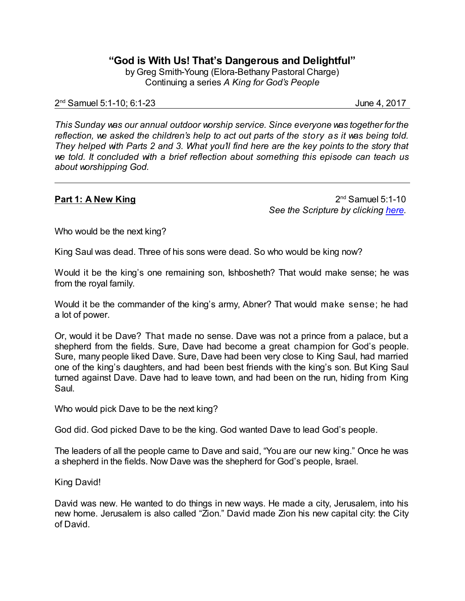**"God is With Us! That's Dangerous and Delightful"**

by Greg Smith-Young (Elora-Bethany Pastoral Charge) Continuing a series *A King for God's People*

## 2 nd Samuel 5:1-10; 6:1-23 June 4, 2017

*This Sunday was our annual outdoor worship service. Since everyone was together forthe reflection, we asked the children's help to act out parts of the story as it was being told. They helped with Parts 2 and 3. What you'll find here are the key points to the story that we told. It concluded with a brief reflection about something this episode can teach us about worshipping God.*

# **Part 1: A New King**

 $2<sup>nd</sup>$  Samuel 5:1-10 *See the Scripture by clicking [here](https://www.biblegateway.com/passage/?search=2+Samuel+5%3A1-10&version=CEB).*

Who would be the next king?

King Saul was dead. Three of his sons were dead. So who would be king now?

Would it be the king's one remaining son, Ishbosheth? That would make sense; he was from the royal family.

Would it be the commander of the king's army, Abner? That would make sense; he had a lot of power.

Or, would it be Dave? That made no sense. Dave was not a prince from a palace, but a shepherd from the fields. Sure, Dave had become a great champion for God's people. Sure, many people liked Dave. Sure, Dave had been very close to King Saul, had married one of the king's daughters, and had been best friends with the king's son. But King Saul turned against Dave. Dave had to leave town, and had been on the run, hiding from King Saul.

Who would pick Dave to be the next king?

God did. God picked Dave to be the king. God wanted Dave to lead God's people.

The leaders of all the people came to Dave and said, "You are our new king." Once he was a shepherd in the fields. Now Dave was the shepherd for God's people, Israel.

King David!

David was new. He wanted to do things in new ways. He made a city, Jerusalem, into his new home. Jerusalem is also called "Zion." David made Zion his new capital city: the City of David.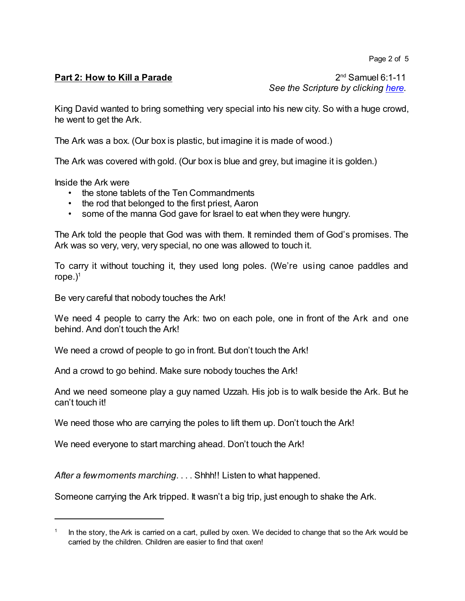Page 2 of 5

## **Part 2: How to Kill a Parade**

 $2<sup>nd</sup>$  Samuel 6:1-11 *See the Scripture by clicking [here](https://www.biblegateway.com/passage/?search=2+Samuel+6%3A1-11&version=CEB).*

King David wanted to bring something very special into his new city. So with a huge crowd, he went to get the Ark.

The Ark was a box. (Our box is plastic, but imagine it is made of wood.)

The Ark was covered with gold. (Our box is blue and grey, but imagine it is golden.)

Inside the Ark were

- the stone tablets of the Ten Commandments
- the rod that belonged to the first priest, Aaron
- some of the manna God gave for Israel to eat when they were hungry.

The Ark told the people that God was with them. It reminded them of God's promises. The Ark was so very, very, very special, no one was allowed to touch it.

To carry it without touching it, they used long poles. (We're using canoe paddles and rope.) 1

Be very careful that nobody touches the Ark!

We need 4 people to carry the Ark: two on each pole, one in front of the Ark and one behind. And don't touch the Ark!

We need a crowd of people to go in front. But don't touch the Ark!

And a crowd to go behind. Make sure nobody touches the Ark!

And we need someone play a guy named Uzzah. His job is to walk beside the Ark. But he can't touch it!

We need those who are carrying the poles to lift them up. Don't touch the Ark!

We need everyone to start marching ahead. Don't touch the Ark!

*After a fewmoments marching*. . . . Shhh!! Listen to what happened.

Someone carrying the Ark tripped. It wasn't a big trip, just enough to shake the Ark.

<sup>1</sup> In the story, the Ark is carried on a cart, pulled by oxen. We decided to change that so the Ark would be carried by the children. Children are easier to find that oxen!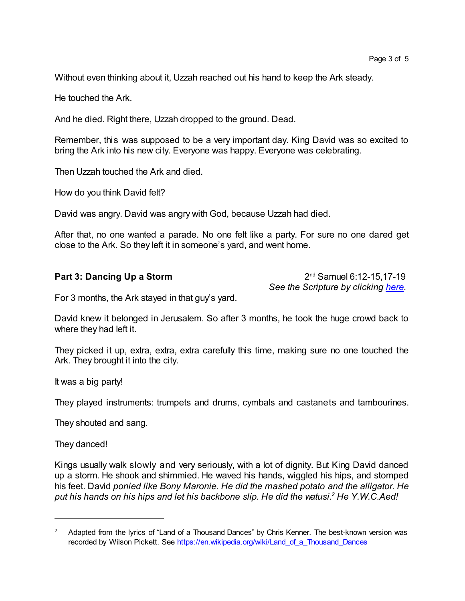Without even thinking about it, Uzzah reached out his hand to keep the Ark steady.

He touched the Ark.

And he died. Right there, Uzzah dropped to the ground. Dead.

Remember, this was supposed to be a very important day. King David was so excited to bring the Ark into his new city. Everyone was happy. Everyone was celebrating.

Then Uzzah touched the Ark and died.

How do you think David felt?

David was angry. David was angry with God, because Uzzah had died.

After that, no one wanted a parade. No one felt like a party. For sure no one dared get close to the Ark. So they left it in someone's yard, and went home.

#### **Part 3: Dancing Up a Storm**

 $2<sup>nd</sup>$  Samuel 6:12-15,17-19 *See the Scripture by clicking [here](https://www.biblegateway.com/passage/?search=2+Samuel+6%3A12-19&version=CEB).*

For 3 months, the Ark stayed in that guy's yard.

David knew it belonged in Jerusalem. So after 3 months, he took the huge crowd back to where they had left it.

They picked it up, extra, extra, extra carefully this time, making sure no one touched the Ark. They brought it into the city.

It was a big party!

They played instruments: trumpets and drums, cymbals and castanets and tambourines.

They shouted and sang.

They danced!

Kings usually walk slowly and very seriously, with a lot of dignity. But King David danced up a storm. He shook and shimmied. He waved his hands, wiggled his hips, and stomped his feet. David *ponied like Bony Maronie. He did the mashed potato and the alligator. He put his hands on his hips and let his backbone slip. He did the watusi. <sup>2</sup> He Y.W.C.Aed!*

<sup>&</sup>lt;sup>2</sup> Adapted from the lyrics of "Land of a Thousand Dances" by Chris Kenner. The best-known version was recorded by Wilson Pickett. See [https://en.wikipedia.org/wiki/Land\\_of\\_a\\_Thousand\\_Dances](https://en.wikipedia.org/wiki/Land_of_a_Thousand_Dances)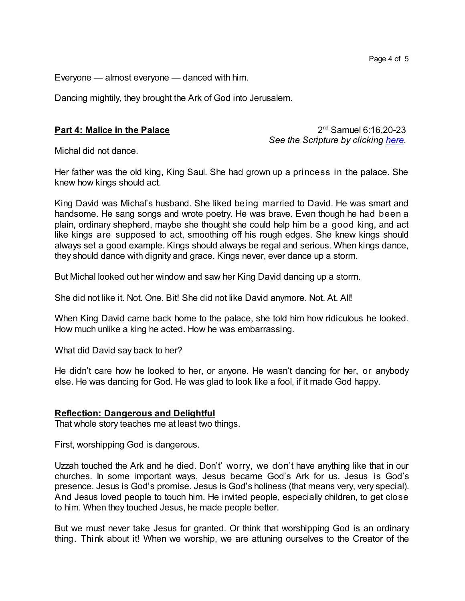Everyone — almost everyone — danced with him.

Dancing mightily, they brought the Ark of God into Jerusalem.

# **Part 4: Malice in the Palace**

 $2^{nd}$  Samuel 6:16,20-23 *See the Scripture by clicking [here](https://www.biblegateway.com/passage/?search=2+Samuel+6%3A20-23&version=CEB).*

Michal did not dance.

Her father was the old king, King Saul. She had grown up a princess in the palace. She knew how kings should act.

King David was Michal's husband. She liked being married to David. He was smart and handsome. He sang songs and wrote poetry. He was brave. Even though he had been a plain, ordinary shepherd, maybe she thought she could help him be a good king, and act like kings are supposed to act, smoothing off his rough edges. She knew kings should always set a good example. Kings should always be regal and serious. When kings dance, they should dance with dignity and grace. Kings never, ever dance up a storm.

But Michal looked out her window and saw her King David dancing up a storm.

She did not like it. Not. One. Bit! She did not like David anymore. Not. At. All!

When King David came back home to the palace, she told him how ridiculous he looked. How much unlike a king he acted. How he was embarrassing.

What did David say back to her?

He didn't care how he looked to her, or anyone. He wasn't dancing for her, or anybody else. He was dancing for God. He was glad to look like a fool, if it made God happy.

## **Reflection: Dangerous and Delightful**

That whole story teaches me at least two things.

First, worshipping God is dangerous.

Uzzah touched the Ark and he died. Don't' worry, we don't have anything like that in our churches. In some important ways, Jesus became God's Ark for us. Jesus is God's presence. Jesus is God's promise. Jesus is God's holiness (that means very, very special). And Jesus loved people to touch him. He invited people, especially children, to get close to him. When they touched Jesus, he made people better.

But we must never take Jesus for granted. Or think that worshipping God is an ordinary thing. Think about it! When we worship, we are attuning ourselves to the Creator of the